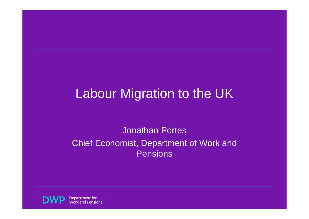# Labour Migration to the UK

#### Jonathan PortesChief Economist, Department of Work and Pensions

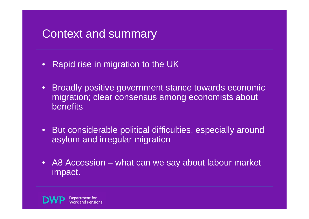#### Context and summary

- •Rapid rise in migration to the UK
- $\bullet$  Broadly positive government stance towards economic migration; clear consensus among economists about benefits
- $\bullet$  But considerable political difficulties, especially around asylum and irregular migration
- $\bullet$  A8 Accession – what can we say about labour market impact.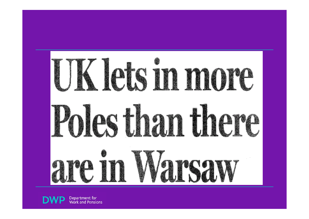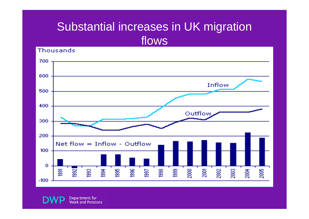### Substantial increases in UK migration flows

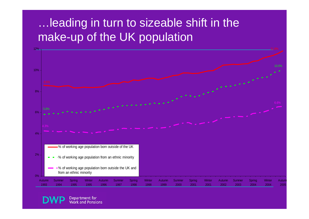#### …leading in turn to sizeable shift in the make-up of the UK population



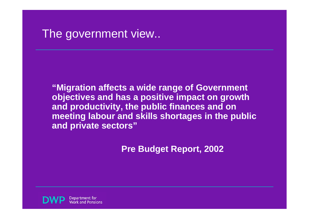#### The government view..

**"Migration affects a wide range of Government objectives and has a positive impact on growth and productivity, the public finances and on meeting labour and skills shortages in the public and private sectors"**

**Pre Budget Report, 2002**

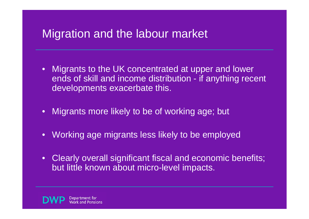## Migration and the labour market

- $\bullet$  Migrants to the UK concentrated at upper and lower ends of skill and income distribution - if anything recent developments exacerbate this.
- $\bullet$ Migrants more likely to be of working age; but
- $\bullet$ Working age migrants less likely to be employed
- $\bullet$  Clearly overall significant fiscal and economic benefits; but little known about micro-level impacts.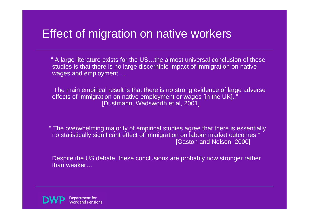#### Effect of migration on native workers

" A large literature exists for the US…the almost universal conclusion of these studies is that there is no large discernible impact of immigration on native wages and employment….

The main empirical result is that there is no strong evidence of large adverse effects of immigration on native employment or wages [in the UK].." [Dustmann, Wadsworth et al, 2001]

" The overwhelming majority of empirical studies agree that there is essentially no statistically significant effect of immigration on labour market outcomes " [Gaston and Nelson, 2000]

Despite the US debate, these conclusions are probably now stronger rather than weaker…

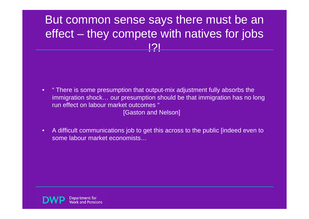#### But common sense says there must be an effect – they compete with natives for jobs !?!

 $\bullet$  " There is some presumption that output-mix adjustment fully absorbs the immigration shock… our presumption should be that immigration has no long run effect on labour market outcomes "

[Gaston and Nelson]

• A difficult communications job to get this across to the public [indeed even to some labour market economists…

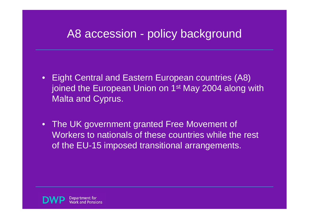#### A8 accession - policy background

- $\bullet$  Eight Central and Eastern European countries (A8) joined the European Union on 1<sup>st</sup> May 2004 along with Malta and Cyprus.
- The UK government granted Free Movement of Workers to nationals of these countries while the rest of the EU-15 imposed transitional arrangements.

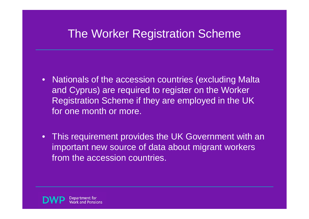### The Worker Registration Scheme

- $\bullet$  Nationals of the accession countries (excluding Malta and Cyprus) are required to register on the Worker Registration Scheme if they are employed in the UK for one month or more.
- This requirement provides the UK Government with an important new source of data about migrant workers from the accession countries.

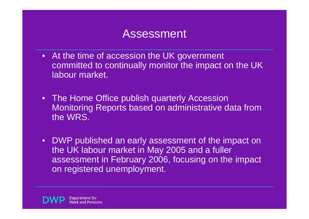#### Assessment

- At the time of accession the UK government committed to continually monitor the impact on the UK labour market.
- The Home Office publish quarterly Accession Monitoring Reports based on administrative data from the WRS.
- $\bullet$  DWP published an early assessment of the impact on the UK labour market in May 2005 and a fuller assessment in February 2006, focusing on the impact on registered unemployment.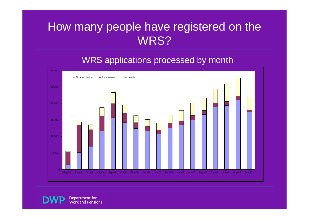#### How many people have registered on the WRS?

#### WRS applications processed by month

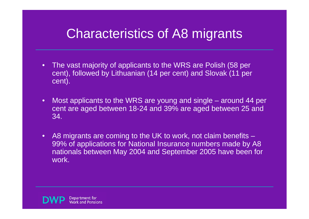# Characteristics of A8 migrants

- $\bullet$  The vast majority of applicants to the WRS are Polish (58 per cent), followed by Lithuanian (14 per cent) and Slovak (11 per cent).
- $\bullet$  Most applicants to the WRS are young and single – around 44 per cent are aged between 18-24 and 39% are aged between 25 and 34.
- •A8 migrants are coming to the UK to work, not claim benefits – 99% of applications for National Insurance numbers made by A8 nationals between May 2004 and September 2005 have been for work.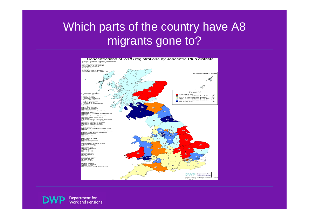#### Which parts of the country have A8 migrants gone to?

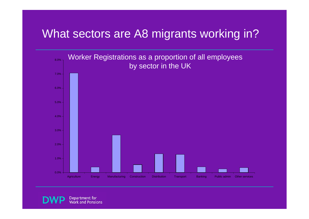#### What sectors are A8 migrants working in?

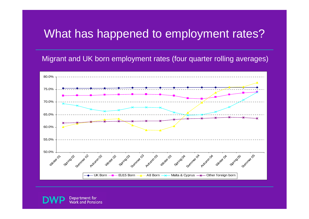### What has happened to employment rates?

Migrant and UK born employment rates (four quarter rolling averages)



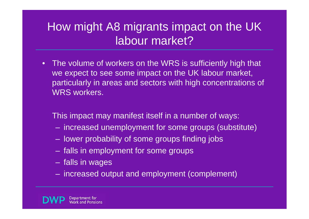## How might A8 migrants impact on the UK labour market?

 $\bullet$  The volume of workers on the WRS is sufficiently high that we expect to see some impact on the UK labour market, particularly in areas and sectors with high concentrations of WRS workers.

This impact may manifest itself in a number of ways:

- increased unemployment for some groups (substitute)
- lower probability of some groups finding jobs
- falls in employment for some groups
- $\mathcal{L}_{\mathcal{A}}$ falls in wages
- increased output and employment (complement)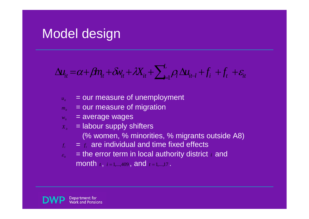# Model design

$$
\Delta u_{it} = \alpha + \beta m_t + \delta v_{it} + \lambda X_{it} + \sum_{i=1}^{L} \rho_i \Delta u_{it} + f_i + f_t + \varepsilon_{it}
$$

- $u_{ij}$  = our measure of unemployment
- $m_{ij}$  = our measure of migration
- *w<sub>it</sub>* = average wages
- $X_i$  = labour supply shifters
	- (% women, % minorities, % migrants outside A8)
- $\|f_i\|$  $f = f$  are individual and time fixed effects
- $|\mathcal{E}_n|$ **Example 2 state error term in local authority district** *i* **and** month  $t$ ,  $i = 1, \dots, 409$ , and  $t = 1, \dots, 17$ .

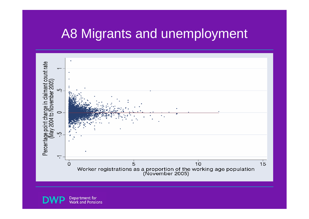# A8 Migrants and unemployment

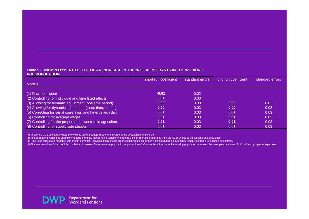#### **Table 5 - UNEMPLOYMENT EFFECT OF AN INCREASE IN THE % OF A8 MIGRANTS IN THE WORKING AGE POPULATION**

|                                                              | short run coefficient | standard errors | long run coefficient | standard errors |
|--------------------------------------------------------------|-----------------------|-----------------|----------------------|-----------------|
| <b>Models</b>                                                |                       |                 |                      |                 |
|                                                              |                       |                 |                      |                 |
| (1) Raw coefficient                                          | $-0.01$               | 0.02            |                      |                 |
| (2) Controlling for individual and time fixed effects        | 0.01                  | 0.03            |                      |                 |
| (3) Allowing for dynamic adjustment (one time period)        | 0.00                  | 0.03            | 0.00                 | 0.03            |
| (4) Allowing for dynamic adjustment (three time periods)     | 0.00                  | 0.03            | 0.00                 | 0.03            |
| (5) Correcting for serial correlation and heteroskedasticy   | 0.01                  | 0.03            | 0.01                 | 0.03            |
| (6) Controlling for average wages                            | 0.01                  | 0.03            | 0.01                 | 0.03            |
| (7) Controlling for the proportion of workers in agriculture | 0.01                  | 0.03            | 0.01                 | 0.03            |
| (8) Controlling for supply side shocks                       | 0.01                  | 0.03            | 0.01                 | 0.03            |

(a) These are GLS estimates where the weights are the square root of the inverse of the population sample size.

(b) The dependent variable is unemployment rate and the independent variable of interest is the proportion of migrants from the A8 countries to the working age population.

(c) Time fixed effects are modelled with month dummies, individual fixed effects are modelled with local authority district dummies, and labour supply shifters are included as controls.

(d) The interpretation of the coefficient is that an increase of one percentage point in the proportion of A8 countries migrants in the working population increases the unemployment rate of UK natives by b percentage points.